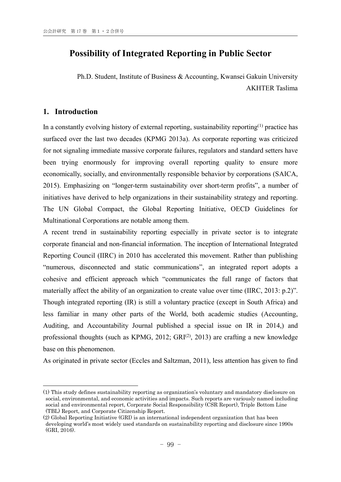# **Possibility of Integrated Reporting in Public Sector**

Ph.D. Student, Institute of Business & Accounting, Kwansei Gakuin University AKHTER Taslima

# **1. Introduction**

1

In a constantly evolving history of external reporting, sustainability reporting<sup> $(1)$ </sup> practice has surfaced over the last two decades (KPMG 2013a). As corporate reporting was criticized for not signaling immediate massive corporate failures, regulators and standard setters have been trying enormously for improving overall reporting quality to ensure more economically, socially, and environmentally responsible behavior by corporations (SAICA, 2015). Emphasizing on "longer-term sustainability over short-term profits", a number of initiatives have derived to help organizations in their sustainability strategy and reporting. The UN Global Compact, the Global Reporting Initiative, OECD Guidelines for Multinational Corporations are notable among them.

A recent trend in sustainability reporting especially in private sector is to integrate corporate financial and non-financial information. The inception of International Integrated Reporting Council (IIRC) in 2010 has accelerated this movement. Rather than publishing "numerous, disconnected and static communications", an integrated report adopts a cohesive and efficient approach which "communicates the full range of factors that materially affect the ability of an organization to create value over time (IIRC, 2013: p.2)". Though integrated reporting (IR) is still a voluntary practice (except in South Africa) and less familiar in many other parts of the World, both academic studies (Accounting, Auditing, and Accountability Journal published a special issue on IR in 2014,) and professional thoughts (such as KPMG, 2012;  $GRI^{(2)}$ , 2013) are crafting a new knowledge base on this phenomenon.

As originated in private sector (Eccles and Saltzman, 2011), less attention has given to find

<sup>(1)</sup> This study defines sustainability reporting as organization's voluntary and mandatory disclosure on social, environmental, and economic activities and impacts. Such reports are variously named including social and environmental report, Corporate Social Responsibility (CSR Report), Triple Bottom Line (TBL) Report, and Corporate Citizenship Report.

<sup>(2)</sup> Global Reporting Initiative (GRI) is an international independent organization that has been developing world's most widely used standards on sustainability reporting and disclosure since 1990s (GRI, 2016).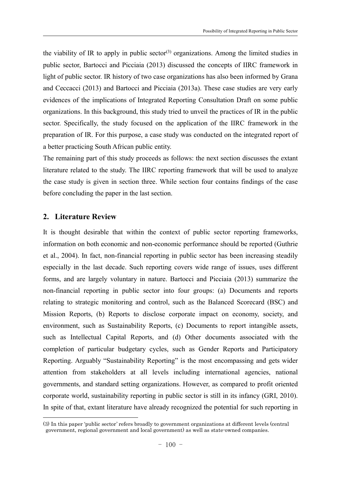the viability of IR to apply in public sector<sup>(3)</sup> organizations. Among the limited studies in public sector, Bartocci and Picciaia (2013) discussed the concepts of IIRC framework in light of public sector. IR history of two case organizations has also been informed by Grana and Ceccacci (2013) and Bartocci and Picciaia (2013a). These case studies are very early evidences of the implications of Integrated Reporting Consultation Draft on some public organizations. In this background, this study tried to unveil the practices of IR in the public sector. Specifically, the study focused on the application of the IIRC framework in the preparation of IR. For this purpose, a case study was conducted on the integrated report of a better practicing South African public entity.

The remaining part of this study proceeds as follows: the next section discusses the extant literature related to the study. The IIRC reporting framework that will be used to analyze the case study is given in section three. While section four contains findings of the case before concluding the paper in the last section.

# **2. Literature Review**

-

It is thought desirable that within the context of public sector reporting frameworks, information on both economic and non-economic performance should be reported (Guthrie et al., 2004). In fact, non-financial reporting in public sector has been increasing steadily especially in the last decade. Such reporting covers wide range of issues, uses different forms, and are largely voluntary in nature. Bartocci and Picciaia (2013) summarize the non-financial reporting in public sector into four groups: (a) Documents and reports relating to strategic monitoring and control, such as the Balanced Scorecard (BSC) and Mission Reports, (b) Reports to disclose corporate impact on economy, society, and environment, such as Sustainability Reports, (c) Documents to report intangible assets, such as Intellectual Capital Reports, and (d) Other documents associated with the completion of particular budgetary cycles, such as Gender Reports and Participatory Reporting. Arguably "Sustainability Reporting" is the most encompassing and gets wider attention from stakeholders at all levels including international agencies, national governments, and standard setting organizations. However, as compared to profit oriented corporate world, sustainability reporting in public sector is still in its infancy (GRI, 2010). In spite of that, extant literature have already recognized the potential for such reporting in

<sup>(3)</sup> In this paper 'public sector' refers broadly to government organizations at different levels (central government, regional government and local government) as well as state-owned companies.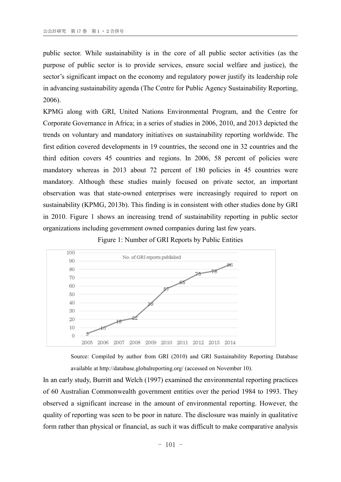public sector. While sustainability is in the core of all public sector activities (as the purpose of public sector is to provide services, ensure social welfare and justice), the sector's significant impact on the economy and regulatory power justify its leadership role in advancing sustainability agenda (The Centre for Public Agency Sustainability Reporting, 2006).

KPMG along with GRI, United Nations Environmental Program, and the Centre for Corporate Governance in Africa; in a series of studies in 2006, 2010, and 2013 depicted the trends on voluntary and mandatory initiatives on sustainability reporting worldwide. The first edition covered developments in 19 countries, the second one in 32 countries and the third edition covers 45 countries and regions. In 2006, 58 percent of policies were mandatory whereas in 2013 about 72 percent of 180 policies in 45 countries were mandatory. Although these studies mainly focused on private sector, an important observation was that state-owned enterprises were increasingly required to report on sustainability (KPMG, 2013b). This finding is in consistent with other studies done by GRI in 2010. Figure 1 shows an increasing trend of sustainability reporting in public sector organizations including government owned companies during last few years.

Figure 1: Number of GRI Reports by Public Entities



Source: Compiled by author from GRI (2010) and GRI Sustainability Reporting Database available at http://database.globalreporting.org/ (accessed on November 10).

In an early study, Burritt and Welch (1997) examined the environmental reporting practices of 60 Australian Commonwealth government entities over the period 1984 to 1993. They observed a significant increase in the amount of environmental reporting. However, the quality of reporting was seen to be poor in nature. The disclosure was mainly in qualitative form rather than physical or financial, as such it was difficult to make comparative analysis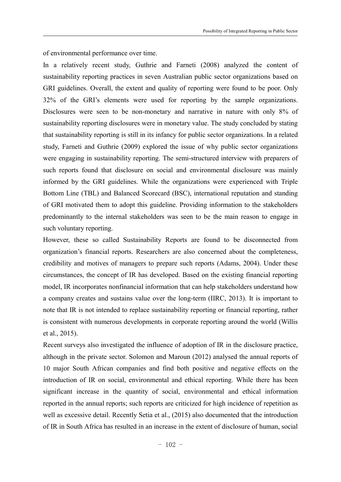of environmental performance over time.

In a relatively recent study, Guthrie and Farneti (2008) analyzed the content of sustainability reporting practices in seven Australian public sector organizations based on GRI guidelines. Overall, the extent and quality of reporting were found to be poor. Only 32% of the GRI's elements were used for reporting by the sample organizations. Disclosures were seen to be non-monetary and narrative in nature with only 8% of sustainability reporting disclosures were in monetary value. The study concluded by stating that sustainability reporting is still in its infancy for public sector organizations. In a related study, Farneti and Guthrie (2009) explored the issue of why public sector organizations were engaging in sustainability reporting. The semi-structured interview with preparers of such reports found that disclosure on social and environmental disclosure was mainly informed by the GRI guidelines. While the organizations were experienced with Triple Bottom Line (TBL) and Balanced Scorecard (BSC), international reputation and standing of GRI motivated them to adopt this guideline. Providing information to the stakeholders predominantly to the internal stakeholders was seen to be the main reason to engage in such voluntary reporting.

However, these so called Sustainability Reports are found to be disconnected from organization's financial reports. Researchers are also concerned about the completeness, credibility and motives of managers to prepare such reports (Adams, 2004). Under these circumstances, the concept of IR has developed. Based on the existing financial reporting model, IR incorporates nonfinancial information that can help stakeholders understand how a company creates and sustains value over the long-term (IIRC, 2013). It is important to note that IR is not intended to replace sustainability reporting or financial reporting, rather is consistent with numerous developments in corporate reporting around the world (Willis et al., 2015).

Recent surveys also investigated the influence of adoption of IR in the disclosure practice, although in the private sector. Solomon and Maroun (2012) analysed the annual reports of 10 major South African companies and find both positive and negative effects on the introduction of IR on social, environmental and ethical reporting. While there has been significant increase in the quantity of social, environmental and ethical information reported in the annual reports; such reports are criticized for high incidence of repetition as well as excessive detail. Recently Setia et al., (2015) also documented that the introduction of IR in South Africa has resulted in an increase in the extent of disclosure of human, social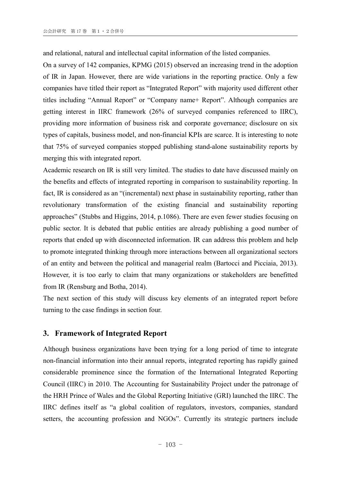and relational, natural and intellectual capital information of the listed companies.

On a survey of 142 companies, KPMG (2015) observed an increasing trend in the adoption of IR in Japan. However, there are wide variations in the reporting practice. Only a few companies have titled their report as "Integrated Report" with majority used different other titles including "Annual Report" or "Company name+ Report". Although companies are getting interest in IIRC framework (26% of surveyed companies referenced to IIRC), providing more information of business risk and corporate governance; disclosure on six types of capitals, business model, and non-financial KPIs are scarce. It is interesting to note that 75% of surveyed companies stopped publishing stand-alone sustainability reports by merging this with integrated report.

Academic research on IR is still very limited. The studies to date have discussed mainly on the benefits and effects of integrated reporting in comparison to sustainability reporting. In fact, IR is considered as an "(incremental) next phase in sustainability reporting, rather than revolutionary transformation of the existing financial and sustainability reporting approaches" (Stubbs and Higgins, 2014, p.1086). There are even fewer studies focusing on public sector. It is debated that public entities are already publishing a good number of reports that ended up with disconnected information. IR can address this problem and help to promote integrated thinking through more interactions between all organizational sectors of an entity and between the political and managerial realm (Bartocci and Picciaia, 2013). However, it is too early to claim that many organizations or stakeholders are benefitted from IR (Rensburg and Botha, 2014).

The next section of this study will discuss key elements of an integrated report before turning to the case findings in section four.

# **3. Framework of Integrated Report**

Although business organizations have been trying for a long period of time to integrate non-financial information into their annual reports, integrated reporting has rapidly gained considerable prominence since the formation of the International Integrated Reporting Council (IIRC) in 2010. The Accounting for Sustainability Project under the patronage of the HRH Prince of Wales and the Global Reporting Initiative (GRI) launched the IIRC. The IIRC defines itself as "a global coalition of regulators, investors, companies, standard setters, the accounting profession and NGOs". Currently its strategic partners include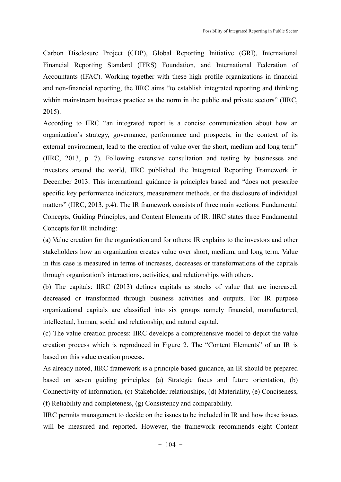Carbon Disclosure Project (CDP), Global Reporting Initiative (GRI), International Financial Reporting Standard (IFRS) Foundation, and International Federation of Accountants (IFAC). Working together with these high profile organizations in financial and non-financial reporting, the IIRC aims "to establish integrated reporting and thinking within mainstream business practice as the norm in the public and private sectors" (IIRC, 2015).

According to IIRC "an integrated report is a concise communication about how an organization's strategy, governance, performance and prospects, in the context of its external environment, lead to the creation of value over the short, medium and long term" (IIRC, 2013, p. 7). Following extensive consultation and testing by businesses and investors around the world, IIRC published the Integrated Reporting Framework in December 2013. This international guidance is principles based and "does not prescribe specific key performance indicators, measurement methods, or the disclosure of individual matters" (IIRC, 2013, p.4). The IR framework consists of three main sections: Fundamental Concepts, Guiding Principles, and Content Elements of IR. IIRC states three Fundamental Concepts for IR including:

(a) Value creation for the organization and for others: IR explains to the investors and other stakeholders how an organization creates value over short, medium, and long term. Value in this case is measured in terms of increases, decreases or transformations of the capitals through organization's interactions, activities, and relationships with others.

(b) The capitals: IIRC (2013) defines capitals as stocks of value that are increased, decreased or transformed through business activities and outputs. For IR purpose organizational capitals are classified into six groups namely financial, manufactured, intellectual, human, social and relationship, and natural capital.

(c) The value creation process: IIRC develops a comprehensive model to depict the value creation process which is reproduced in Figure 2. The "Content Elements" of an IR is based on this value creation process.

As already noted, IIRC framework is a principle based guidance, an IR should be prepared based on seven guiding principles: (a) Strategic focus and future orientation, (b) Connectivity of information, (c) Stakeholder relationships, (d) Materiality, (e) Conciseness, (f) Reliability and completeness, (g) Consistency and comparability.

IIRC permits management to decide on the issues to be included in IR and how these issues will be measured and reported. However, the framework recommends eight Content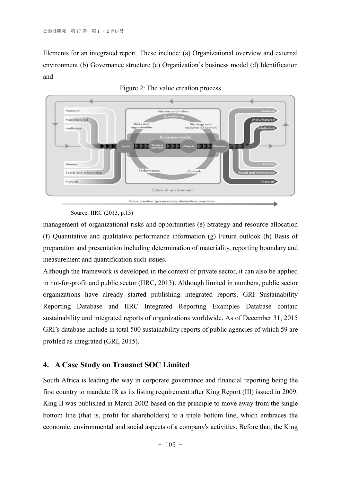Elements for an integrated report. These include: (a) Organizational overview and external environment (b) Governance structure (c) Organization's business model (d) Identification and



Figure 2: The value creation process

Source: IIRC (2013, p.13)

management of organizational risks and opportunities (e) Strategy and resource allocation (f) Quantitative and qualitative performance information (g) Future outlook (h) Basis of preparation and presentation including determination of materiality, reporting boundary and measurement and quantification such issues.

Although the framework is developed in the context of private sector, it can also be applied in not-for-profit and public sector (IIRC, 2013). Although limited in numbers, public sector organizations have already started publishing integrated reports. GRI Sustainability Reporting Database and IIRC Integrated Reporting Examples Database contain sustainability and integrated reports of organizations worldwide. As of December 31, 2015 GRI's database include in total 500 sustainability reports of public agencies of which 59 are profiled as integrated (GRI, 2015).

# **4. A Case Study on Transnet SOC Limited**

South Africa is leading the way in corporate governance and financial reporting being the first country to mandate IR as its listing requirement after King Report (III) issued in 2009. King II was published in March 2002 based on the principle to move away from the single bottom line (that is, profit for shareholders) to a triple bottom line, which embraces the economic, environmental and social aspects of a company's activities. Before that, the King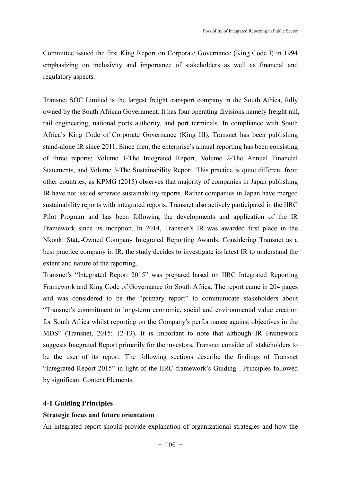Committee issued the first King Report on Corporate Governance (King Code I) in 1994 emphasizing on inclusivity and importance of stakeholders as well as financial and regulatory aspects.

Transnet SOC Limited is the largest freight transport company in the South Africa, fully owned by the South African Government. It has four operating divisions namely freight rail, rail engineering, national ports authority, and port terminals. In compliance with South Africa's King Code of Corporate Governance (King III), Transnet has been publishing stand-alone IR since 2011. Since then, the enterprise's annual reporting has been consisting of three reports: Volume 1-The Integrated Report, Volume 2-The Annual Financial Statements, and Volume 3-The Sustainability Report. This practice is quite different from other countries, as KPMG (2015) observes that majority of companies in Japan publishing IR have not issued separate sustainability reports. Rather companies in Japan have merged sustainability reports with integrated reports. Transnet also actively participated in the IIRC Pilot Program and has been following the developments and application of the IR Framework since its inception. In 2014, Transnet's IR was awarded first place in the Nkonki State-Owned Company Integrated Reporting Awards. Considering Transnet as a best practice company in IR, the study decides to investigate its latest IR to understand the extent and nature of the reporting.

Transnet's "Integrated Report 2015" was prepared based on IIRC Integrated Reporting Framework and King Code of Governance for South Africa. The report came in 204 pages and was considered to be the "primary report" to communicate stakeholders about "Transnet's commitment to long-term economic, social and environmental value creation for South Africa whilst reporting on the Company's performance against objectives in the MDS" (Transnet, 2015: 12-13). It is important to note that although IR Framework suggests Integrated Report primarily for the investors, Transnet consider all stakeholders to be the user of its report. The following sections describe the findings of Transnet "Integrated Report 2015" in light of the IIRC framework's Guiding Principles followed by significant Content Elements.

# **4-1 Guiding Principles**

# **Strategic focus and future orientation**

An integrated report should provide explanation of organizational strategies and how the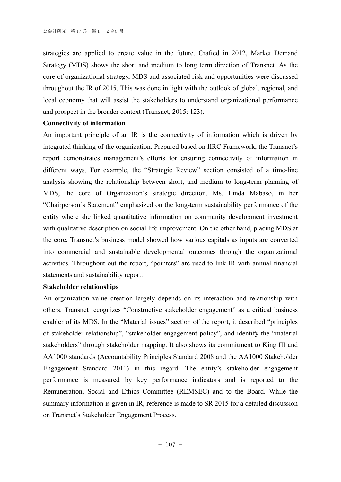strategies are applied to create value in the future. Crafted in 2012, Market Demand Strategy (MDS) shows the short and medium to long term direction of Transnet. As the core of organizational strategy, MDS and associated risk and opportunities were discussed throughout the IR of 2015. This was done in light with the outlook of global, regional, and local economy that will assist the stakeholders to understand organizational performance and prospect in the broader context (Transnet, 2015: 123).

# **Connectivity of information**

An important principle of an IR is the connectivity of information which is driven by integrated thinking of the organization. Prepared based on IIRC Framework, the Transnet's report demonstrates management's efforts for ensuring connectivity of information in different ways. For example, the "Strategic Review" section consisted of a time-line analysis showing the relationship between short, and medium to long-term planning of MDS, the core of Organization's strategic direction. Ms. Linda Mabaso, in her "Chairperson`s Statement" emphasized on the long-term sustainability performance of the entity where she linked quantitative information on community development investment with qualitative description on social life improvement. On the other hand, placing MDS at the core, Transnet's business model showed how various capitals as inputs are converted into commercial and sustainable developmental outcomes through the organizational activities. Throughout out the report, "pointers" are used to link IR with annual financial statements and sustainability report.

## **Stakeholder relationships**

An organization value creation largely depends on its interaction and relationship with others. Transnet recognizes "Constructive stakeholder engagement" as a critical business enabler of its MDS. In the "Material issues" section of the report, it described "principles of stakeholder relationship", "stakeholder engagement policy", and identify the "material stakeholders" through stakeholder mapping. It also shows its commitment to King III and AA1000 standards (Accountability Principles Standard 2008 and the AA1000 Stakeholder Engagement Standard 2011) in this regard. The entity's stakeholder engagement performance is measured by key performance indicators and is reported to the Remuneration, Social and Ethics Committee (REMSEC) and to the Board. While the summary information is given in IR, reference is made to SR 2015 for a detailed discussion on Transnet's Stakeholder Engagement Process.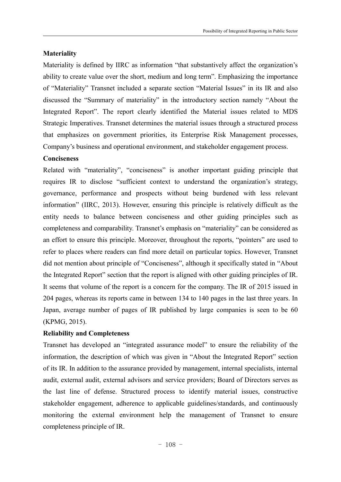#### **Materiality**

Materiality is defined by IIRC as information "that substantively affect the organization's ability to create value over the short, medium and long term". Emphasizing the importance of "Materiality" Transnet included a separate section "Material Issues" in its IR and also discussed the "Summary of materiality" in the introductory section namely "About the Integrated Report". The report clearly identified the Material issues related to MDS Strategic Imperatives. Transnet determines the material issues through a structured process that emphasizes on government priorities, its Enterprise Risk Management processes, Company's business and operational environment, and stakeholder engagement process.

## **Conciseness**

Related with "materiality", "conciseness" is another important guiding principle that requires IR to disclose "sufficient context to understand the organization's strategy, governance, performance and prospects without being burdened with less relevant information" (IIRC, 2013). However, ensuring this principle is relatively difficult as the entity needs to balance between conciseness and other guiding principles such as completeness and comparability. Transnet's emphasis on "materiality" can be considered as an effort to ensure this principle. Moreover, throughout the reports, "pointers" are used to refer to places where readers can find more detail on particular topics. However, Transnet did not mention about principle of "Conciseness", although it specifically stated in "About the Integrated Report" section that the report is aligned with other guiding principles of IR. It seems that volume of the report is a concern for the company. The IR of 2015 issued in 204 pages, whereas its reports came in between 134 to 140 pages in the last three years. In Japan, average number of pages of IR published by large companies is seen to be 60 (KPMG, 2015).

# **Reliability and Completeness**

Transnet has developed an "integrated assurance model" to ensure the reliability of the information, the description of which was given in "About the Integrated Report" section of its IR. In addition to the assurance provided by management, internal specialists, internal audit, external audit, external advisors and service providers; Board of Directors serves as the last line of defense. Structured process to identify material issues, constructive stakeholder engagement, adherence to applicable guidelines/standards, and continuously monitoring the external environment help the management of Transnet to ensure completeness principle of IR.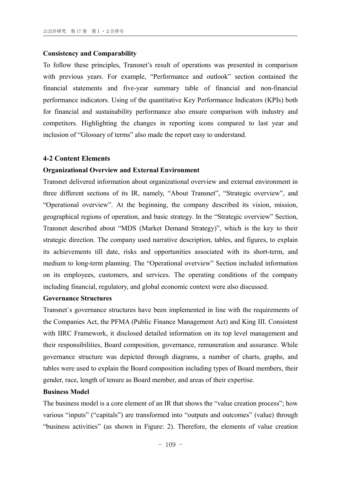#### **Consistency and Comparability**

To follow these principles, Transnet's result of operations was presented in comparison with previous years. For example, "Performance and outlook" section contained the financial statements and five-year summary table of financial and non-financial performance indicators. Using of the quantitative Key Performance Indicators (KPIs) both for financial and sustainability performance also ensure comparison with industry and competitors. Highlighting the changes in reporting icons compared to last year and inclusion of "Glossary of terms" also made the report easy to understand.

#### **4-2 Content Elements**

# **Organizational Overview and External Environment**

Transnet delivered information about organizational overview and external environment in three different sections of its IR, namely, "About Transnet", "Strategic overview", and "Operational overview". At the beginning, the company described its vision, mission, geographical regions of operation, and basic strategy. In the "Strategic overview" Section, Transnet described about "MDS (Market Demand Strategy)", which is the key to their strategic direction. The company used narrative description, tables, and figures, to explain its achievements till date, risks and opportunities associated with its short-term, and medium to long-term planning. The "Operational overview" Section included information on its employees, customers, and services. The operating conditions of the company including financial, regulatory, and global economic context were also discussed.

# **Governance Structures**

Transnet`s governance structures have been implemented in line with the requirements of the Companies Act, the PFMA (Public Finance Management Act) and King III. Consistent with IIRC Framework, it disclosed detailed information on its top level management and their responsibilities, Board composition, governance, remuneration and assurance. While governance structure was depicted through diagrams, a number of charts, graphs, and tables were used to explain the Board composition including types of Board members, their gender, race, length of tenure as Board member, and areas of their expertise.

#### **Business Model**

The business model is a core element of an IR that shows the "value creation process"; how various "inputs" ("capitals") are transformed into "outputs and outcomes" (value) through "business activities" (as shown in Figure: 2). Therefore, the elements of value creation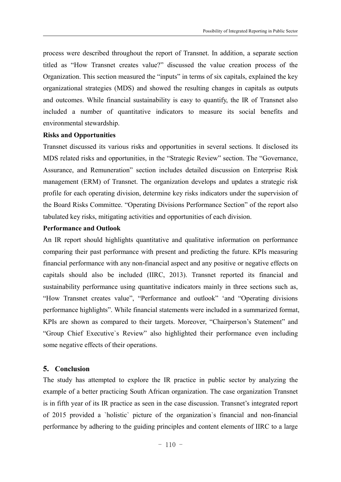process were described throughout the report of Transnet. In addition, a separate section titled as "How Transnet creates value?" discussed the value creation process of the Organization. This section measured the "inputs" in terms of six capitals, explained the key organizational strategies (MDS) and showed the resulting changes in capitals as outputs and outcomes. While financial sustainability is easy to quantify, the IR of Transnet also included a number of quantitative indicators to measure its social benefits and environmental stewardship.

#### **Risks and Opportunities**

Transnet discussed its various risks and opportunities in several sections. It disclosed its MDS related risks and opportunities, in the "Strategic Review" section. The "Governance, Assurance, and Remuneration" section includes detailed discussion on Enterprise Risk management (ERM) of Transnet. The organization develops and updates a strategic risk profile for each operating division, determine key risks indicators under the supervision of the Board Risks Committee. "Operating Divisions Performance Section" of the report also tabulated key risks, mitigating activities and opportunities of each division.

#### **Performance and Outlook**

An IR report should highlights quantitative and qualitative information on performance comparing their past performance with present and predicting the future. KPIs measuring financial performance with any non-financial aspect and any positive or negative effects on capitals should also be included (IIRC, 2013). Transnet reported its financial and sustainability performance using quantitative indicators mainly in three sections such as, "How Transnet creates value", "Performance and outlook" 'and "Operating divisions performance highlights". While financial statements were included in a summarized format, KPIs are shown as compared to their targets. Moreover, "Chairperson's Statement" and "Group Chief Executive`s Review" also highlighted their performance even including some negative effects of their operations.

# **5. Conclusion**

The study has attempted to explore the IR practice in public sector by analyzing the example of a better practicing South African organization. The case organization Transnet is in fifth year of its IR practice as seen in the case discussion. Transnet's integrated report of 2015 provided a `holistic` picture of the organization`s financial and non-financial performance by adhering to the guiding principles and content elements of IIRC to a large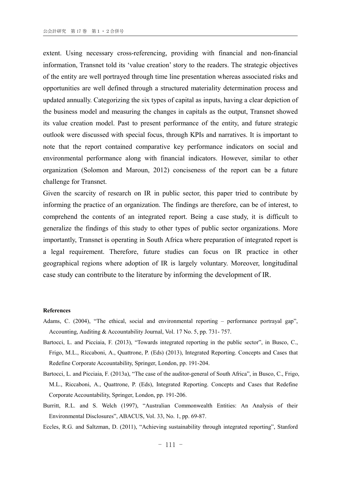extent. Using necessary cross-referencing, providing with financial and non-financial information, Transnet told its 'value creation' story to the readers. The strategic objectives of the entity are well portrayed through time line presentation whereas associated risks and opportunities are well defined through a structured materiality determination process and updated annually. Categorizing the six types of capital as inputs, having a clear depiction of the business model and measuring the changes in capitals as the output, Transnet showed its value creation model. Past to present performance of the entity, and future strategic outlook were discussed with special focus, through KPIs and narratives. It is important to note that the report contained comparative key performance indicators on social and environmental performance along with financial indicators. However, similar to other organization (Solomon and Maroun, 2012) conciseness of the report can be a future challenge for Transnet.

Given the scarcity of research on IR in public sector, this paper tried to contribute by informing the practice of an organization. The findings are therefore, can be of interest, to comprehend the contents of an integrated report. Being a case study, it is difficult to generalize the findings of this study to other types of public sector organizations. More importantly, Transnet is operating in South Africa where preparation of integrated report is a legal requirement. Therefore, future studies can focus on IR practice in other geographical regions where adoption of IR is largely voluntary. Moreover, longitudinal case study can contribute to the literature by informing the development of IR.

#### **References**

- Adams, C. (2004), "The ethical, social and environmental reporting performance portrayal gap", Accounting, Auditing & Accountability Journal, Vol. 17 No. 5, pp. 731- 757.
- Bartocci, L. and Picciaia, F. (2013), "Towards integrated reporting in the public sector", in Busco, C., Frigo, M.L., Riccaboni, A., Quattrone, P. (Eds) (2013), Integrated Reporting. Concepts and Cases that Redefine Corporate Accountability, Springer, London, pp. 191-204.
- Bartocci, L. and Picciaia, F. (2013a), "The case of the auditor-general of South Africa", in Busco, C., Frigo, M.L., Riccaboni, A., Quattrone, P. (Eds), Integrated Reporting. Concepts and Cases that Redefine Corporate Accountability, Springer, London, pp. 191-206.
- Burritt, R.L. and S. Welch (1997), "Australian Commonwealth Entities: An Analysis of their Environmental Disclosures", ABACUS, Vol. 33, No. 1, pp. 69-87.
- Eccles, R.G. and Saltzman, D. (2011), "Achieving sustainability through integrated reporting", Stanford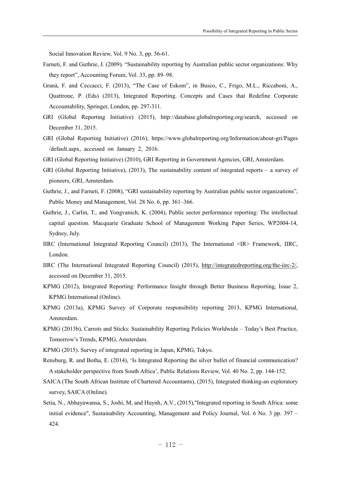Social Innovation Review, Vol. 9 No. 3, pp. 56-61.

- Farneti, F. and Guthrie, J. (2009). "Sustainability reporting by Australian public sector organizations: Why they report", Accounting Forum, Vol. 33, pp. 89–98.
- Granà, F. and Ceccacci, F. (2013), "The Case of Eskom", in Busco, C., Frigo, M.L., Riccaboni, A., Quattrone, P. (Eds) (2013), Integrated Reporting. Concepts and Cases that Redefine Corporate Accountability, Springer, London, pp. 297-311.
- GRI (Global Reporting Initiative) (2015), http://database.globalreporting.org/search, accessed on December 31, 2015.
- GRI (Global Reporting Initiative) (2016), https://www.globalreporting.org/Information/about-gri/Pages /default.aspx, accessed on January 2, 2016.
- GRI (Global Reporting Initiative) (2010), GRI Reporting in Government Agencies, GRI, Amsterdam.
- GRI (Global Reporting Initiative), (2013), The sustainability content of integrated reports a survey of pioneers, GRI, Amsterdam.
- Guthrie, J., and Farneti, F. (2008), "GRI sustainability reporting by Australian public sector organizations", Public Money and Management, Vol. 28 No. 6, pp. 361–366.
- Guthrie, J., Carlin, T., and Yongvanich, K. (2004), Public sector performance reporting: The intellectual capital question. Macquarie Graduate School of Management Working Paper Series, WP2004-14, Sydney, July.
- IIRC (International Integrated Reporting Council) (2013), The International <IR> Framework, IIRC, London.
- IIRC (The International Integrated Reporting Council) (2015), http://integratedreporting.org/the-iirc-2/, accessed on December 31, 2015.
- KPMG (2012), Integrated Reporting: Performance Insight through Better Business Reporting, Issue 2, KPMG International (Online).
- KPMG (2013a), KPMG Survey of Corporate responsibility reporting 2013, KPMG International, Amsterdam.
- KPMG (2013b), Carrots and Sticks: Sustainability Reporting Policies Worldwide Today's Best Practice, Tomorrow's Trends, KPMG, Amsterdam.
- KPMG (2015). Survey of integrated reporting in Japan, KPMG, Tokyo.
- Rensburg, R. and Botha, E. (2014), 'Is Integrated Reporting the silver bullet of financial communication? A stakeholder perspective from South Africa', Public Relations Review, Vol. 40 No. 2, pp. 144-152.
- SAICA (The South African Institute of Chartered Accountants), (2015), Integrated thinking-an exploratory survey, SAICA (Online).
- Setia, N., Abhayawansa, S., Joshi, M, and Huynh, A.V., (2015),"Integrated reporting in South Africa: some initial evidence", Sustainability Accounting, Management and Policy Journal, Vol. 6 No. 3 pp. 397 – 424.